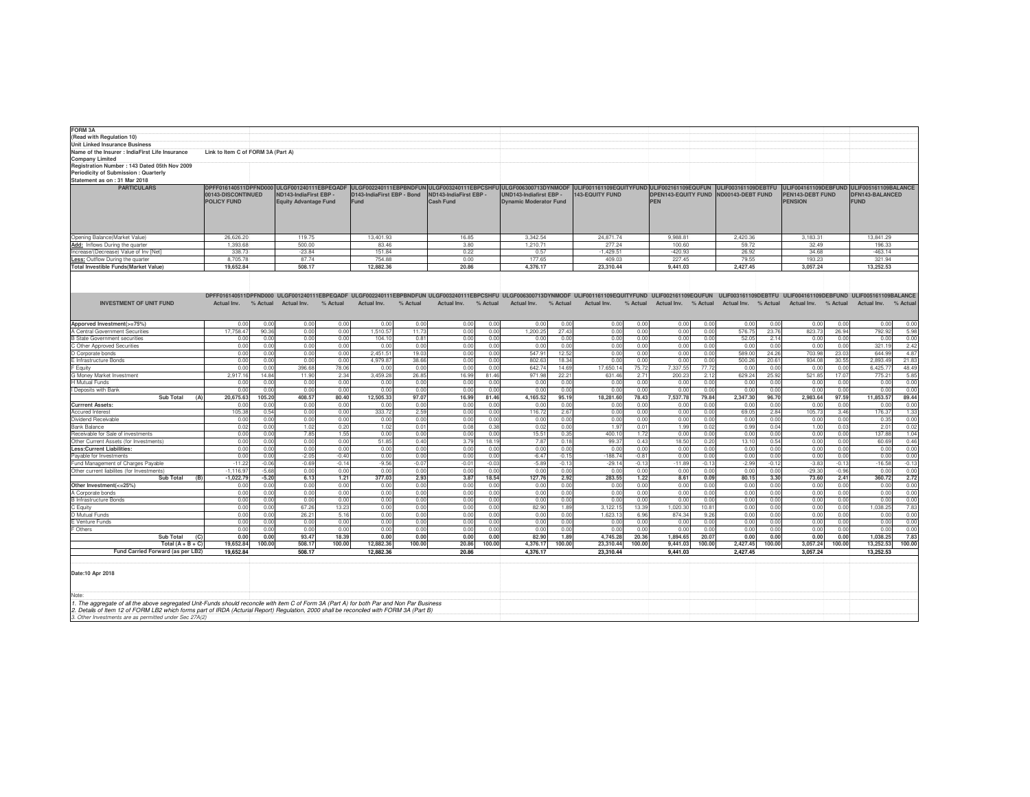| <b>FORM 3A</b><br>(Read with Regulation 10)                                                                                                |                                    |          |                                              |                              |                            |          |                        |                  |                                                                                                                                                           |                               |                        |          |                            |                |                      |         |                                                               |         |                 |          |
|--------------------------------------------------------------------------------------------------------------------------------------------|------------------------------------|----------|----------------------------------------------|------------------------------|----------------------------|----------|------------------------|------------------|-----------------------------------------------------------------------------------------------------------------------------------------------------------|-------------------------------|------------------------|----------|----------------------------|----------------|----------------------|---------|---------------------------------------------------------------|---------|-----------------|----------|
| <b>Unit Linked Insurance Business</b>                                                                                                      |                                    |          |                                              |                              |                            |          |                        |                  |                                                                                                                                                           |                               |                        |          |                            |                |                      |         |                                                               |         |                 |          |
| Name of the Insurer : IndiaFirst Life Insurance                                                                                            | Link to Item C of FORM 3A (Part A) |          |                                              |                              |                            |          |                        |                  |                                                                                                                                                           |                               |                        |          |                            |                |                      |         |                                                               |         |                 |          |
| <b>Company Limited</b>                                                                                                                     |                                    |          |                                              |                              |                            |          |                        |                  |                                                                                                                                                           |                               |                        |          |                            |                |                      |         |                                                               |         |                 |          |
| Registration Number: 143 Dated 05th Nov 2009                                                                                               |                                    |          |                                              |                              |                            |          |                        |                  |                                                                                                                                                           |                               |                        |          |                            |                |                      |         |                                                               |         |                 |          |
| Periodicity of Submission : Quarterly                                                                                                      |                                    |          |                                              |                              |                            |          |                        |                  |                                                                                                                                                           |                               |                        |          |                            |                |                      |         |                                                               |         |                 |          |
| Statement as on: 31 Mar 2018                                                                                                               |                                    |          |                                              |                              |                            |          |                        |                  |                                                                                                                                                           |                               |                        |          |                            |                |                      |         |                                                               |         |                 |          |
| <b>PARTICULARS</b>                                                                                                                         | DPFF016140511DPFND000              |          | ULGF001240111EBPEQADF ULGF002240111EBPBNDFUN |                              |                            |          |                        |                  | ULGF003240111EBPCSHFU ULGF006300713DYNMODF ULIF001161109EQUITYFUND ULIF002161109EQUFUN                                                                    |                               |                        |          |                            |                | ULIF003161109DEBTFU  |         | ULIF004161109DEBFUND ULIF005161109BALANCE                     |         |                 |          |
|                                                                                                                                            | 00143-DISCONTINUED                 |          | ND143-IndiaFirst EBP -                       |                              | D143-IndiaFirst EBP - Bond |          | ND143-IndiaFirst EBP - |                  | UND143-Indiafirst EBP -                                                                                                                                   |                               | <b>143-EQUITY FUND</b> |          | <b>DPEN143-EQUITY FUND</b> |                | ND00143-DEBT FUND    |         | PEN143-DEBT FUND                                              |         | DFN143-BALANCED |          |
|                                                                                                                                            | <b>POLICY FUND</b>                 |          |                                              | <b>Equity Advantage Fund</b> |                            | Fund     |                        | <b>Cash Fund</b> |                                                                                                                                                           | <b>Dynamic Moderator Fund</b> |                        |          |                            |                |                      |         | <b>PENSION</b>                                                |         | <b>FUND</b>     |          |
|                                                                                                                                            |                                    |          |                                              |                              |                            |          |                        |                  |                                                                                                                                                           |                               |                        |          |                            |                |                      |         |                                                               |         |                 |          |
|                                                                                                                                            |                                    |          |                                              |                              |                            |          |                        |                  |                                                                                                                                                           |                               |                        |          |                            |                |                      |         |                                                               |         |                 |          |
|                                                                                                                                            |                                    |          |                                              |                              |                            |          |                        |                  |                                                                                                                                                           |                               |                        |          |                            |                |                      |         |                                                               |         |                 |          |
|                                                                                                                                            |                                    |          |                                              |                              |                            |          |                        |                  |                                                                                                                                                           |                               |                        |          |                            |                |                      |         |                                                               |         |                 |          |
| Opening Balance(Market Value)                                                                                                              | 26,626.20                          |          | 119.75                                       |                              | 13,401.93                  |          | 16.85                  |                  | 3,342.54                                                                                                                                                  |                               | 24,871.74              |          | 9,988.81                   |                | 2,420.36             |         | 3,183.31                                                      |         | 13.841.29       |          |
| Add: Inflows During the quarter                                                                                                            | 1.393.68                           |          | 500.00                                       |                              | 83.46                      |          | 3.80                   |                  | 1.210.71                                                                                                                                                  |                               | 277.24                 |          | 100.60                     |                | 59.72                |         | 32.49                                                         |         | 196.33          |          |
| Increase/(Decrease) Value of Inv [Net]                                                                                                     | 338.73                             |          | $-23.84$                                     |                              | 151.84                     |          | 0.22                   |                  | 0.57                                                                                                                                                      |                               | $-1,429.51$            |          | $-420.93$                  |                | 26.92                |         | 34.68                                                         |         | $-463.14$       |          |
| Less: Outflow During the quarter                                                                                                           | 8,705.78                           |          | 87.74                                        |                              | 754.88                     |          | 0.00                   |                  | 177.65                                                                                                                                                    |                               | 409.03                 |          | 227.45                     |                | 79.55                |         | 193.23                                                        |         | 321.94          |          |
| <b>Total Investible Funds(Market Value)</b>                                                                                                | 19,652.84                          |          | 508.17                                       |                              | 12,882.36                  |          | 20.86                  |                  | 4,376.17                                                                                                                                                  |                               | 23,310.44              |          | 9,441.03                   |                | 2,427.45             |         | 3,057.24                                                      |         | 13,252.53       |          |
|                                                                                                                                            |                                    |          |                                              |                              |                            |          |                        |                  |                                                                                                                                                           |                               |                        |          |                            |                |                      |         |                                                               |         |                 |          |
|                                                                                                                                            |                                    |          |                                              |                              |                            |          |                        |                  |                                                                                                                                                           |                               |                        |          |                            |                |                      |         |                                                               |         |                 |          |
|                                                                                                                                            |                                    |          |                                              |                              |                            |          |                        |                  |                                                                                                                                                           |                               |                        |          |                            |                |                      |         |                                                               |         |                 |          |
|                                                                                                                                            |                                    |          |                                              |                              |                            |          |                        |                  | DPFF016140511DPFND000 ULGF001240111EBPEQADF ULGF002240111EBPBNDFUN ULGF003240111EBPCSHFU ULGF006300713DYNMODF ULIF001161109EQUITYFUND ULIF002161109EQUFUN |                               |                        |          |                            |                |                      |         | ULIF003161109DEBTFU ULIF004161109DEBFUND ULIF005161109BALANCE |         |                 |          |
| <b>INVESTMENT OF UNIT FUND</b>                                                                                                             | Actual Inv.                        | % Actual | Actual Inv.                                  | % Actual                     | Actual Inv.                | % Actual | Actual Inv.            | % Actual         | Actual Inv.                                                                                                                                               | % Actual                      | Actual Inv.            | % Actual | Actual Inv. % Actual       |                | Actual Inv. % Actual |         | Actual Inv. % Actual                                          |         | Actual Inv.     | % Actual |
|                                                                                                                                            |                                    |          |                                              |                              |                            |          |                        |                  |                                                                                                                                                           |                               |                        |          |                            |                |                      |         |                                                               |         |                 |          |
| Apporved Investment(>=75%)                                                                                                                 | 0.00                               | 0.00     | 0.00                                         | 0.00                         | 0.00                       | 0.00     | 0.00                   | 0.00             | 0.00                                                                                                                                                      | 0.00                          | 0.00                   | 0.00     | 0.00                       | 0.00           | 0.00                 | 0.00    | 0.00                                                          | 0.00    | 0.00            | 0.00     |
| A Central Government Securities                                                                                                            | 17,758.47                          | 90.3     | 0.00                                         | 0.00                         | 1,510.57                   | 11.73    | 0.00                   | 0.00             | 1,200.25                                                                                                                                                  | 27.43                         | 0.00                   | 0.00     | 0.00                       | 0.00           | 576.75               | 23.76   | 823.7                                                         | 26.94   | 792.92          | 5.98     |
| <b>B State Government securities</b>                                                                                                       | 0.00                               | 0.0      | 0.00                                         | 0.00                         | 104.10                     | 0.81     | 0.00                   | 0.00             | 0.00                                                                                                                                                      | 0.00                          | 0.00                   | 0.00     | 0.00                       | 0.00           | 52.05                | 2.14    | 0.00                                                          | 0.00    | 0.00            | 0.00     |
| C Other Approved Securities                                                                                                                | 0.00                               | 0.00     | 0.00                                         | 0.00                         | 0.00                       | 0.00     | 0.00                   | 0.00             | 0.00                                                                                                                                                      | 0.00                          | 0.00                   | 0.00     | 0.00                       | 0.00           | 0.00                 | 0.00    | 0.00                                                          | 0.00    | 321.19          | 2.42     |
| D Corporate bonds                                                                                                                          | 0.00                               | 0.00     | 0.00                                         | 0.00                         | 2,451.51                   | 19.03    | 0.00                   | 0.00             | 547.91                                                                                                                                                    | 12.52                         | 0.00                   | 0.00     | 0.00                       | 0.00           | 589.00               | 24.26   | 703.98                                                        | 23.03   | 644.99          | 4.87     |
| E Infrastructure Bonds                                                                                                                     | 0.00                               | 0.00     | 0.00                                         | 0.00                         | 4,979.87                   | 38.66    | 0.00                   | 0.00             | 802.63                                                                                                                                                    | 18.34                         | 0.00                   | 0.00     | 0.00                       | 0.00           | 500.26               | 20.61   | 934.08                                                        | 30.55   | 2,893.49        | 21.83    |
| <b>Equity</b>                                                                                                                              | 0.00                               | 0.00     | 396.68                                       | 78.06                        | 0.00                       | 0.00     | 0.00                   | 0.00             | 642.74                                                                                                                                                    | 14.69                         | 17,650.14              | 75.72    | 7.337.55                   | 77.72          | 0.00                 | 0.00    | 0.00                                                          | 0.00    | 6.425.7         | 48.49    |
| G Money Market Investment                                                                                                                  | 2,917.16                           | 14.84    | 11.90                                        | 2.34                         | 3,459.28                   | 26.85    | 16.99                  | 81.46            | 971.98                                                                                                                                                    | 22.21                         | 631.46                 | 2.71     | 200.23                     | 2.12           | 629.24               | 25.92   | 521.85                                                        | 17.07   | 775.21          | 5.85     |
| H Mutual Funds                                                                                                                             | 0.00                               | 0.00     | 0.00                                         | 0.00                         | 0.00                       | 0.00     | 0.00                   | 0.00             | 0.00                                                                                                                                                      | 0.00                          | 0.00                   | 0.00     | 0.00                       | 0.00           | 0.00                 | 0.00    | 0.00                                                          | 0.00    | 0.00            | 0.00     |
| I Deposits with Bank                                                                                                                       | 0.00                               | 0.00     | 0.00                                         | 0.00                         | 0.00                       | 0.00     | 0.00                   | 0.00             | 0.00                                                                                                                                                      | 0.00                          | 0.00                   | 0.00     | 0.00                       | 0.00           | 0.00                 | 0.00    | 0.00                                                          | 0.00    | 0.00            | 0.00     |
| Sub Total<br>(A)                                                                                                                           | 20.675.63                          | 105.20   | 408.57                                       | 80.40                        | 12,505.33                  | 97.07    | 16.99                  | 81.46            | 4.165.52                                                                                                                                                  | 95.19                         | 18,281.60              | 78.43    | 7,537.78                   | 79.84          | 2.347.30             | 96.70   | 2.983.64                                                      | 97.59   | 11,853.57       | 89.44    |
| <b>Currrent Assets:</b>                                                                                                                    | 0.00                               | 0.0      | 0.00                                         | 0.00                         | 0.00                       | 0.00     | 0.00                   | 0.00             | 0.00                                                                                                                                                      | 0.00                          | 0.00                   | 0.00     | 0.00                       | 0.00           | 0.00                 | 0.00    | 0.00                                                          | 0.00    | 0.00            | 0.00     |
| <b>Accured Interest</b>                                                                                                                    | 105.38                             | 0.54     | 0.00                                         | 0.00                         | 333.72                     | 2.59     | 0.00                   | 0.00             | 116.72                                                                                                                                                    | 2.67                          | 0.00                   | 0.00     | 0.00                       | 0.00           | 69.05                | 2.84    | 105.73                                                        | 3.46    | 176.37          | 1.33     |
| Dividend Receivable                                                                                                                        | 0.00                               | 0.00     | 0.00                                         | 0.00                         | 0.00                       | 0.00     | 0.00                   | 0.00             | 0.00                                                                                                                                                      | 0.00                          | 0.00                   | 0.00     | 0.00                       | 0.00           | 0.00                 | 0.00    | 0.00                                                          | 0.00    | 0.35            | 0.00     |
| <b>Bank Balance</b>                                                                                                                        | 0.02                               | 0.00     | 1.02                                         | 0.20                         | 1.02                       | 0.01     | 0.08                   | 0.38             | 0.02                                                                                                                                                      | 0.00                          | 1.97                   | 0.01     | 1.99                       | 0.02           | 0.99                 | 0.04    | 1.00                                                          | 0.03    | 2.01            | 0.02     |
| Receivable for Sale of investments                                                                                                         | 0.00                               | 0.00     | 7.85                                         | 1.55                         | 0.00                       | 0.00     | 0.00                   | 0.00             | 15.51                                                                                                                                                     | 0.35                          | 400.10                 | 1.72     | 0.00                       | 0.00           | 0.00                 | 0.00    | 0.00                                                          | 0.00    | 137.88          | 1.04     |
| Other Current Assets (for Investments)                                                                                                     | 0.00                               | 0.00     | 0.00                                         | 0.00                         | 51.85                      | 0.40     | 3.79                   | 18.19            | 7.87                                                                                                                                                      | 0.18                          | 99.37                  | 0.43     | 18.50                      | 0.20           | 13.10                | 0.54    | 0.00                                                          | 0.00    | 60.69           | 0.46     |
| <b>Less:Current Liabilities:</b>                                                                                                           | 0.00                               | 0.00     | 0.00                                         | 0.00                         | 0.00                       | 0.00     | 0.00                   | 0.00             | 0.00                                                                                                                                                      | 0.00                          | 0.00                   | 0.00     | 0.00                       | 0.00           | 0.00                 | 0.00    | 0.00                                                          | 0.00    | 0.00            | 0.00     |
| Payable for Investments                                                                                                                    | 0.00                               | 0.00     | $-2.05$                                      | $-0.40$                      | 0.00                       | 0.00     | 0.00                   | 0.00             | $-6.47$                                                                                                                                                   | $-0.15$                       | $-188.74$              | $-0.81$  | 0.00                       | 0.00           | 0.00                 | 0.00    | 0.00                                                          | 0.00    | 0.00            | 0.00     |
| Fund Management of Charges Payable                                                                                                         | $-11.22$                           | $-0.06$  | $-0.69$                                      | $-0.14$                      | $-9.56$                    | $-0.07$  | $-0.01$                | $-0.03$          | $-5.89$                                                                                                                                                   | $-0.13$                       | $-29.14$               | $-0.13$  | $-11.89$                   | $-0.13$        | $-2.99$              | $-0.12$ | $-3.83$                                                       | $-0.13$ | $-16.58$        | $-0.13$  |
| Other current liabilites (for Investments)                                                                                                 | $-1.116.97$                        | $-5.68$  | 0.00                                         | 0.00                         | 0.00                       | 0.00     | 0.00                   | 0.00             | 0.00                                                                                                                                                      | 0.00                          | 0.00                   | 0.00     | 0.00                       | 0.00           | 0.00                 | 0.00    | $-29.30$                                                      | $-0.96$ | 0.00            | 0.00     |
| Sub Total<br>(B)                                                                                                                           | $-1,022.79$                        | $-5.20$  | 6.13                                         | 1.21                         | 377.03                     | 2.93     | 3.87                   | 18.54            | 127.76                                                                                                                                                    | 2.92                          | 283.55                 | 1.22     | 8.61                       | 0.09           | 80.15                | 3.30    | 73.60                                                         | 2.41    | 360.72          | 2.72     |
| Other Investment(<=25%)                                                                                                                    | 0.00                               | 0.00     | 0.00                                         | 0.00                         | 0.00                       | 0.00     | 0.00                   | 0.00             | 0.00                                                                                                                                                      | 0.00                          | 0.00                   | 0.00     | 0.00                       | 0.00           | 0.00                 | 0.00    | 0.00                                                          | 0.00    | 0.00            | 0.00     |
| A Corporate bonds                                                                                                                          | 0.00                               | 0.00     | 0.00                                         | 0.00                         | 0.00                       | 0.00     | 0.00                   | 0.00             | 0.00                                                                                                                                                      | 0.00                          | 0.00                   | 0.00     | 0.00                       | 0.00           | 0.00                 | 0.00    | 0.00                                                          | 0.00    | 0.00            | 0.00     |
| <b>B</b> Infrastructure Bonds                                                                                                              | 0.00                               | 0.00     | 0.00                                         | 0.00                         | 0.00                       | 0.00     | 0.00                   | 0.00             | 0.00                                                                                                                                                      | 0.00                          | 0.00                   | 0.00     | 0.00                       | 0.00           | 0.00                 | 0.00    | 0.00                                                          | 0.00    | 0.00            | 0.00     |
| C Equity                                                                                                                                   | 0.00                               | 0.00     | 67.26                                        | 13.23                        | 0.00                       | 0.00     | 0.00                   | 0.00             | 82.90                                                                                                                                                     | 1.89                          | 3,122.15               | 13.39    | 1,020.30                   | $10.8^{\circ}$ | 0.00                 | 0.00    | 0.00                                                          | 0.00    | 1,038.25        | 7.83     |
| D Mutual Funds                                                                                                                             | 0.00                               | 0.00     | 26.2                                         | 5.16                         | 0.00                       | 0.00     | 0.00                   | 0.00             | 0.00                                                                                                                                                      | 0.00                          | 1.623.13               | 6.96     | 874.34                     | 9.26           | 0.00                 | 0.00    | 0.00                                                          | 0.00    | 0.00            | 0.00     |
| E Venture Funds                                                                                                                            | 0.00                               | 0.00     | 0.00                                         | 0.00                         | 0.00                       | 0.00     | 0.00                   | 0.00             | 0.00                                                                                                                                                      | 0.00                          | 0.00                   | 0.00     | 0.00                       | 0.00           | 0.00                 | 0.00    | 0.00                                                          | 0.00    | 0.00            | 0.00     |
| F Others                                                                                                                                   | 0.00                               | 0.00     | 0.00                                         | 0.00                         | 0.00                       | 0.00     | 0.00                   | 0.00             | 0.00                                                                                                                                                      | 0.00                          | 0.00                   | 0.00     | 0.00                       | 0.00           | 0.00                 | 0.00    | 0.00                                                          | 0.00    | 0.00            | 0.00     |
| Sub Total<br>(C)                                                                                                                           | 0.00                               | 0.00     | 93.47                                        | 18.39                        | 0.00                       | 0.00     | 0.00                   | 0.00             | 82.90                                                                                                                                                     | 1.89                          | 4,745.28               | 20.36    | 1.894.65                   | 20.0           | 0.00                 | 0.00    | 0.00                                                          | 0.00    | 1.038.25        | 7.83     |
| Total $(A + B + C)$                                                                                                                        | 19,652.84                          | 100.00   | 508.17                                       | 100.00                       | 12,882.36                  | 100.00   | 20.86                  | 100.00           | 4,376.17                                                                                                                                                  | 100.00                        | 23,310.44              | 100.00   | 9,441.03                   | 100.00         | 2,427.45             | 100.00  | 3,057.24                                                      | 100.00  | 13,252.53       | 100.00   |
| Fund Carried Forward (as per LB2)                                                                                                          | 19,652.84                          |          | 508.17                                       |                              | 12,882.36                  |          | 20.86                  |                  | 4,376.17                                                                                                                                                  |                               | 23,310.44              |          | 9,441.03                   |                | 2,427.45             |         | 3,057.24                                                      |         | 13,252.53       |          |
|                                                                                                                                            |                                    |          |                                              |                              |                            |          |                        |                  |                                                                                                                                                           |                               |                        |          |                            |                |                      |         |                                                               |         |                 |          |
|                                                                                                                                            |                                    |          |                                              |                              |                            |          |                        |                  |                                                                                                                                                           |                               |                        |          |                            |                |                      |         |                                                               |         |                 |          |
| Date:10 Apr 2018                                                                                                                           |                                    |          |                                              |                              |                            |          |                        |                  |                                                                                                                                                           |                               |                        |          |                            |                |                      |         |                                                               |         |                 |          |
|                                                                                                                                            |                                    |          |                                              |                              |                            |          |                        |                  |                                                                                                                                                           |                               |                        |          |                            |                |                      |         |                                                               |         |                 |          |
|                                                                                                                                            |                                    |          |                                              |                              |                            |          |                        |                  |                                                                                                                                                           |                               |                        |          |                            |                |                      |         |                                                               |         |                 |          |
| Note                                                                                                                                       |                                    |          |                                              |                              |                            |          |                        |                  |                                                                                                                                                           |                               |                        |          |                            |                |                      |         |                                                               |         |                 |          |
| 1. The aggregate of all the above segregated Unit-Funds should reconcile with item C of Form 3A (Part A) for both Par and Non Par Business |                                    |          |                                              |                              |                            |          |                        |                  |                                                                                                                                                           |                               |                        |          |                            |                |                      |         |                                                               |         |                 |          |
| 2. Details of Item 12 of FORM LB2 which forms part of IRDA (Acturial Report) Regulation, 2000 shall be reconciled with FORM 3A (Part B)    |                                    |          |                                              |                              |                            |          |                        |                  |                                                                                                                                                           |                               |                        |          |                            |                |                      |         |                                                               |         |                 |          |
| 3. Other Investments are as permitted under Sec 27A(2)                                                                                     |                                    |          |                                              |                              |                            |          |                        |                  |                                                                                                                                                           |                               |                        |          |                            |                |                      |         |                                                               |         |                 |          |